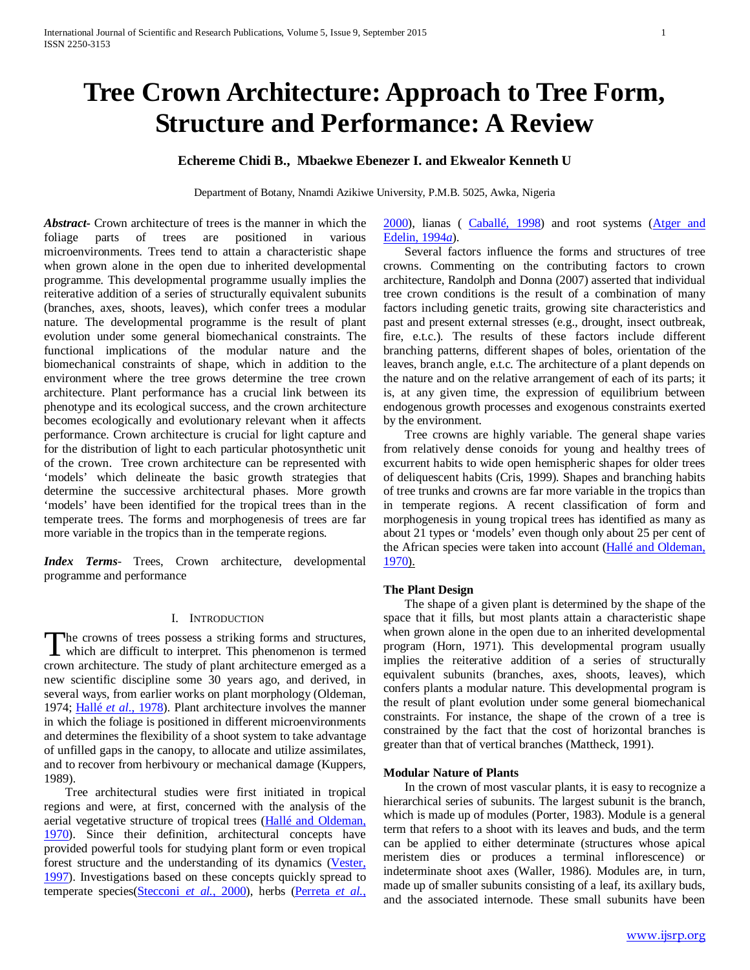# **Tree Crown Architecture: Approach to Tree Form, Structure and Performance: A Review**

# **Echereme Chidi B., Mbaekwe Ebenezer I. and Ekwealor Kenneth U**

Department of Botany, Nnamdi Azikiwe University, P.M.B. 5025, Awka, Nigeria

*Abstract***-** Crown architecture of trees is the manner in which the foliage parts of trees are positioned in various microenvironments. Trees tend to attain a characteristic shape when grown alone in the open due to inherited developmental programme. This developmental programme usually implies the reiterative addition of a series of structurally equivalent subunits (branches, axes, shoots, leaves), which confer trees a modular nature. The developmental programme is the result of plant evolution under some general biomechanical constraints. The functional implications of the modular nature and the biomechanical constraints of shape, which in addition to the environment where the tree grows determine the tree crown architecture. Plant performance has a crucial link between its phenotype and its ecological success, and the crown architecture becomes ecologically and evolutionary relevant when it affects performance. Crown architecture is crucial for light capture and for the distribution of light to each particular photosynthetic unit of the crown. Tree crown architecture can be represented with 'models' which delineate the basic growth strategies that determine the successive architectural phases. More growth 'models' have been identified for the tropical trees than in the temperate trees. The forms and morphogenesis of trees are far more variable in the tropics than in the temperate regions.

*Index Terms*- Trees, Crown architecture, developmental programme and performance

# I. INTRODUCTION

he crowns of trees possess a striking forms and structures, The crowns of trees possess a striking forms and structures,<br>which are difficult to interpret. This phenomenon is termed<br> crown architecture. The study of plant architecture emerged as a new scientific discipline some 30 years ago, and derived, in several ways, from earlier works on plant morphology (Oldeman, 1974; Hallé *et al.*[, 1978\)](http://aob.oxfordjournals.org/content/99/3/375.full#ref-146). Plant architecture involves the manner in which the foliage is positioned in different microenvironments and determines the flexibility of a shoot system to take advantage of unfilled gaps in the canopy, to allocate and utilize assimilates, and to recover from herbivoury or mechanical damage (Kuppers, 1989).

 Tree architectural studies were first initiated in tropical regions and were, at first, concerned with the analysis of the aerial vegetative structure of tropical trees [\(Hallé and Oldeman,](http://aob.oxfordjournals.org/content/99/3/375.full#ref-151)  [1970\)](http://aob.oxfordjournals.org/content/99/3/375.full#ref-151). Since their definition, architectural concepts have provided powerful tools for studying plant form or even tropical forest structure and the understanding of its dynamics [\(Vester,](http://aob.oxfordjournals.org/content/99/3/375.full#ref-317)  [1997\)](http://aob.oxfordjournals.org/content/99/3/375.full#ref-317). Investigations based on these concepts quickly spread to temperate species[\(Stecconi](http://aob.oxfordjournals.org/content/99/3/375.full#ref-294) *et al.*, 2000), herbs [\(Perreta](http://aob.oxfordjournals.org/content/99/3/375.full#ref-229) *et al.*,

# [2000\)](http://aob.oxfordjournals.org/content/99/3/375.full#ref-229), lianas ( [Caballé, 1998\)](http://aob.oxfordjournals.org/content/99/3/375.full#ref-38) and root systems [\(Atger and](http://aob.oxfordjournals.org/content/99/3/375.full#ref-5)  [Edelin, 1994](http://aob.oxfordjournals.org/content/99/3/375.full#ref-5)*a*).

 Several factors influence the forms and structures of tree crowns. Commenting on the contributing factors to crown architecture, Randolph and Donna (2007) asserted that individual tree crown conditions is the result of a combination of many factors including genetic traits, growing site characteristics and past and present external stresses (e.g., drought, insect outbreak, fire, e.t.c.). The results of these factors include different branching patterns, different shapes of boles, orientation of the leaves, branch angle, e.t.c. The architecture of a plant depends on the nature and on the relative arrangement of each of its parts; it is, at any given time, the expression of equilibrium between endogenous growth processes and exogenous constraints exerted by the environment.

 Tree crowns are highly variable. The general shape varies from relatively dense conoids for young and healthy trees of excurrent habits to wide open hemispheric shapes for older trees of deliquescent habits (Cris, 1999). Shapes and branching habits of tree trunks and crowns are far more variable in the tropics than in temperate regions. A recent classification of form and morphogenesis in young tropical trees has identified as many as about 21 types or 'models' even though only about 25 per cent of the African species were taken into account [\(Hallé and Oldeman,](http://aob.oxfordjournals.org/content/99/3/375.full#ref-151)  [1970\)](http://aob.oxfordjournals.org/content/99/3/375.full#ref-151).

#### **The Plant Design**

 The shape of a given plant is determined by the shape of the space that it fills, but most plants attain a characteristic shape when grown alone in the open due to an inherited developmental program (Horn, 1971). This developmental program usually implies the reiterative addition of a series of structurally equivalent subunits (branches, axes, shoots, leaves), which confers plants a modular nature. This developmental program is the result of plant evolution under some general biomechanical constraints. For instance, the shape of the crown of a tree is constrained by the fact that the cost of horizontal branches is greater than that of vertical branches (Mattheck, 1991).

### **Modular Nature of Plants**

 In the crown of most vascular plants, it is easy to recognize a hierarchical series of subunits. The largest subunit is the branch, which is made up of modules (Porter, 1983). Module is a general term that refers to a shoot with its leaves and buds, and the term can be applied to either determinate (structures whose apical meristem dies or produces a terminal inflorescence) or indeterminate shoot axes (Waller, 1986). Modules are, in turn, made up of smaller subunits consisting of a leaf, its axillary buds, and the associated internode. These small subunits have been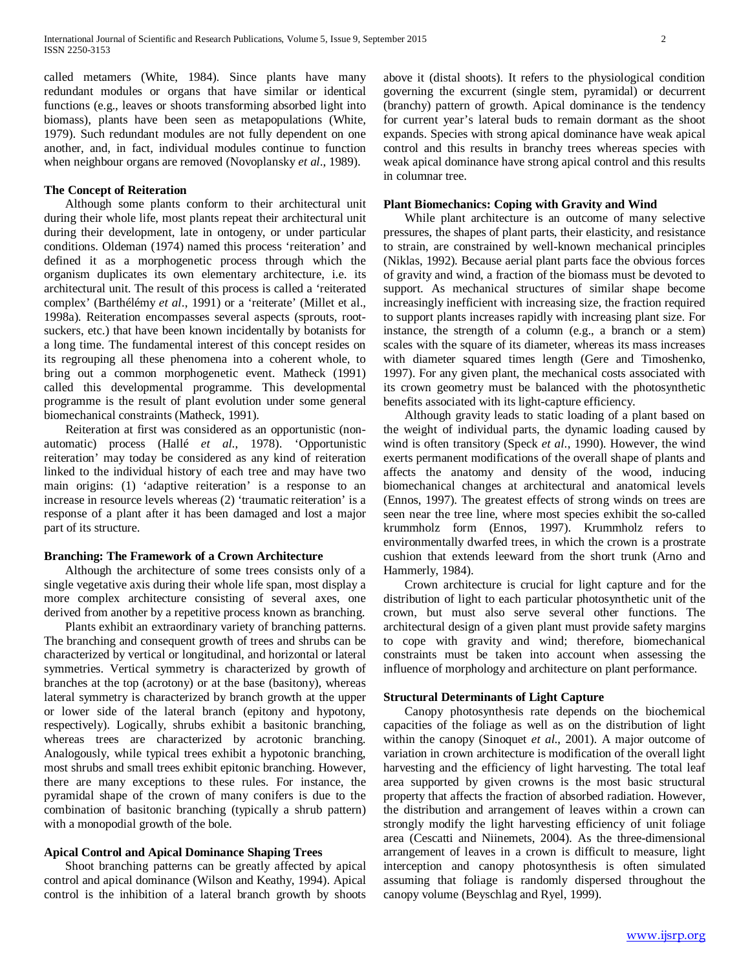called metamers (White, 1984). Since plants have many redundant modules or organs that have similar or identical functions (e.g., leaves or shoots transforming absorbed light into biomass), plants have been seen as metapopulations (White, 1979). Such redundant modules are not fully dependent on one another, and, in fact, individual modules continue to function when neighbour organs are removed (Novoplansky *et al*., 1989).

### **The Concept of Reiteration**

 Although some plants conform to their architectural unit during their whole life, most plants repeat their architectural unit during their development, late in ontogeny, or under particular conditions. Oldeman (1974) named this process 'reiteration' and defined it as a morphogenetic process through which the organism duplicates its own elementary architecture, i.e. its architectural unit. The result of this process is called a 'reiterated complex' (Barthélémy *et al*., 1991) or a 'reiterate' (Millet et al., 1998a). Reiteration encompasses several aspects (sprouts, rootsuckers, etc.) that have been known incidentally by botanists for a long time. The fundamental interest of this concept resides on its regrouping all these phenomena into a coherent whole, to bring out a common morphogenetic event. Matheck (1991) called this developmental programme. This developmental programme is the result of plant evolution under some general biomechanical constraints (Matheck, 1991).

 Reiteration at first was considered as an opportunistic (nonautomatic) process (Hallé *et al*., 1978). 'Opportunistic reiteration' may today be considered as any kind of reiteration linked to the individual history of each tree and may have two main origins: (1) 'adaptive reiteration' is a response to an increase in resource levels whereas (2) 'traumatic reiteration' is a response of a plant after it has been damaged and lost a major part of its structure.

# **Branching: The Framework of a Crown Architecture**

 Although the architecture of some trees consists only of a single vegetative axis during their whole life span, most display a more complex architecture consisting of several axes, one derived from another by a repetitive process known as branching.

 Plants exhibit an extraordinary variety of branching patterns. The branching and consequent growth of trees and shrubs can be characterized by vertical or longitudinal, and horizontal or lateral symmetries. Vertical symmetry is characterized by growth of branches at the top (acrotony) or at the base (basitony), whereas lateral symmetry is characterized by branch growth at the upper or lower side of the lateral branch (epitony and hypotony, respectively). Logically, shrubs exhibit a basitonic branching, whereas trees are characterized by acrotonic branching. Analogously, while typical trees exhibit a hypotonic branching, most shrubs and small trees exhibit epitonic branching. However, there are many exceptions to these rules. For instance, the pyramidal shape of the crown of many conifers is due to the combination of basitonic branching (typically a shrub pattern) with a monopodial growth of the bole.

# **Apical Control and Apical Dominance Shaping Trees**

 Shoot branching patterns can be greatly affected by apical control and apical dominance (Wilson and Keathy, 1994). Apical control is the inhibition of a lateral branch growth by shoots above it (distal shoots). It refers to the physiological condition governing the excurrent (single stem, pyramidal) or decurrent (branchy) pattern of growth. Apical dominance is the tendency for current year's lateral buds to remain dormant as the shoot expands. Species with strong apical dominance have weak apical control and this results in branchy trees whereas species with weak apical dominance have strong apical control and this results in columnar tree.

# **Plant Biomechanics: Coping with Gravity and Wind**

 While plant architecture is an outcome of many selective pressures, the shapes of plant parts, their elasticity, and resistance to strain, are constrained by well-known mechanical principles (Niklas, 1992). Because aerial plant parts face the obvious forces of gravity and wind, a fraction of the biomass must be devoted to support. As mechanical structures of similar shape become increasingly inefficient with increasing size, the fraction required to support plants increases rapidly with increasing plant size. For instance, the strength of a column (e.g., a branch or a stem) scales with the square of its diameter, whereas its mass increases with diameter squared times length (Gere and Timoshenko, 1997). For any given plant, the mechanical costs associated with its crown geometry must be balanced with the photosynthetic benefits associated with its light-capture efficiency.

 Although gravity leads to static loading of a plant based on the weight of individual parts, the dynamic loading caused by wind is often transitory (Speck *et al*., 1990). However, the wind exerts permanent modifications of the overall shape of plants and affects the anatomy and density of the wood, inducing biomechanical changes at architectural and anatomical levels (Ennos, 1997). The greatest effects of strong winds on trees are seen near the tree line, where most species exhibit the so-called krummholz form (Ennos, 1997). Krummholz refers to environmentally dwarfed trees, in which the crown is a prostrate cushion that extends leeward from the short trunk (Arno and Hammerly, 1984).

 Crown architecture is crucial for light capture and for the distribution of light to each particular photosynthetic unit of the crown, but must also serve several other functions. The architectural design of a given plant must provide safety margins to cope with gravity and wind; therefore, biomechanical constraints must be taken into account when assessing the influence of morphology and architecture on plant performance.

# **Structural Determinants of Light Capture**

 Canopy photosynthesis rate depends on the biochemical capacities of the foliage as well as on the distribution of light within the canopy (Sinoquet *et al*., 2001). A major outcome of variation in crown architecture is modification of the overall light harvesting and the efficiency of light harvesting. The total leaf area supported by given crowns is the most basic structural property that affects the fraction of absorbed radiation. However, the distribution and arrangement of leaves within a crown can strongly modify the light harvesting efficiency of unit foliage area (Cescatti and Niinemets, 2004). As the three-dimensional arrangement of leaves in a crown is difficult to measure, light interception and canopy photosynthesis is often simulated assuming that foliage is randomly dispersed throughout the canopy volume (Beyschlag and Ryel, 1999).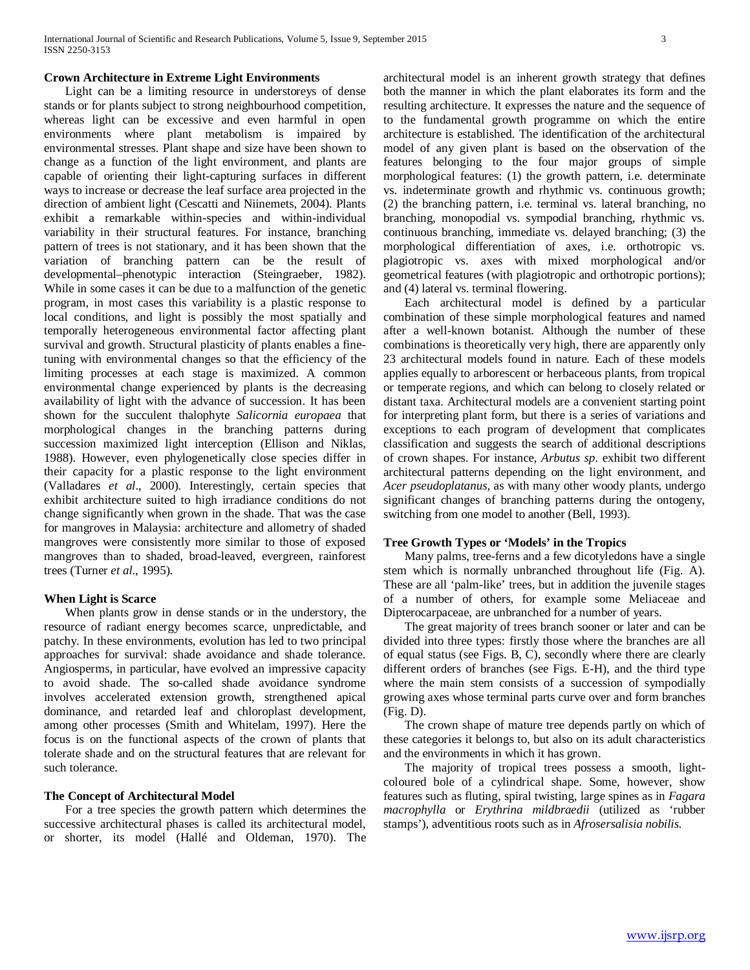### **Crown Architecture in Extreme Light Environments**

 Light can be a limiting resource in understoreys of dense stands or for plants subject to strong neighbourhood competition, whereas light can be excessive and even harmful in open environments where plant metabolism is impaired by environmental stresses. Plant shape and size have been shown to change as a function of the light environment, and plants are capable of orienting their light-capturing surfaces in different ways to increase or decrease the leaf surface area projected in the direction of ambient light (Cescatti and Niinemets, 2004). Plants exhibit a remarkable within-species and within-individual variability in their structural features. For instance, branching pattern of trees is not stationary, and it has been shown that the variation of branching pattern can be the result of developmental–phenotypic interaction (Steingraeber, 1982). While in some cases it can be due to a malfunction of the genetic program, in most cases this variability is a plastic response to local conditions, and light is possibly the most spatially and temporally heterogeneous environmental factor affecting plant survival and growth. Structural plasticity of plants enables a finetuning with environmental changes so that the efficiency of the limiting processes at each stage is maximized. A common environmental change experienced by plants is the decreasing availability of light with the advance of succession. It has been shown for the succulent thalophyte *Salicornia europaea* that morphological changes in the branching patterns during succession maximized light interception (Ellison and Niklas, 1988). However, even phylogenetically close species differ in their capacity for a plastic response to the light environment (Valladares *et al*., 2000). Interestingly, certain species that exhibit architecture suited to high irradiance conditions do not change significantly when grown in the shade. That was the case for mangroves in Malaysia: architecture and allometry of shaded mangroves were consistently more similar to those of exposed mangroves than to shaded, broad-leaved, evergreen, rainforest trees (Turner *et al*., 1995).

#### **When Light is Scarce**

 When plants grow in dense stands or in the understory, the resource of radiant energy becomes scarce, unpredictable, and patchy. In these environments, evolution has led to two principal approaches for survival: shade avoidance and shade tolerance. Angiosperms, in particular, have evolved an impressive capacity to avoid shade. The so-called shade avoidance syndrome involves accelerated extension growth, strengthened apical dominance, and retarded leaf and chloroplast development, among other processes (Smith and Whitelam, 1997). Here the focus is on the functional aspects of the crown of plants that tolerate shade and on the structural features that are relevant for such tolerance.

# **The Concept of Architectural Model**

 For a tree species the growth pattern which determines the successive architectural phases is called its architectural model, or shorter, its model (Hallé and Oldeman, 1970). The architectural model is an inherent growth strategy that defines both the manner in which the plant elaborates its form and the resulting architecture. It expresses the nature and the sequence of to the fundamental growth programme on which the entire architecture is established. The identification of the architectural model of any given plant is based on the observation of the features belonging to the four major groups of simple morphological features: (1) the growth pattern, i.e. determinate vs. indeterminate growth and rhythmic vs. continuous growth; (2) the branching pattern, i.e. terminal vs. lateral branching, no branching, monopodial vs. sympodial branching, rhythmic vs. continuous branching, immediate vs. delayed branching; (3) the morphological differentiation of axes, i.e. orthotropic vs. plagiotropic vs. axes with mixed morphological and/or geometrical features (with plagiotropic and orthotropic portions); and (4) lateral vs. terminal flowering.

 Each architectural model is defined by a particular combination of these simple morphological features and named after a well-known botanist. Although the number of these combinations is theoretically very high, there are apparently only 23 architectural models found in nature. Each of these models applies equally to arborescent or herbaceous plants, from tropical or temperate regions, and which can belong to closely related or distant taxa. Architectural models are a convenient starting point for interpreting plant form, but there is a series of variations and exceptions to each program of development that complicates classification and suggests the search of additional descriptions of crown shapes. For instance, *Arbutus sp*. exhibit two different architectural patterns depending on the light environment, and *Acer pseudoplatanus*, as with many other woody plants, undergo significant changes of branching patterns during the ontogeny, switching from one model to another (Bell, 1993).

#### **Tree Growth Types or 'Models' in the Tropics**

 Many palms, tree-ferns and a few dicotyledons have a single stem which is normally unbranched throughout life (Fig. A). These are all 'palm-like' trees, but in addition the juvenile stages of a number of others, for example some Meliaceae and Dipterocarpaceae, are unbranched for a number of years.

 The great majority of trees branch sooner or later and can be divided into three types: firstly those where the branches are all of equal status (see Figs. B, C), secondly where there are clearly different orders of branches (see Figs. E-H), and the third type where the main stem consists of a succession of sympodially growing axes whose terminal parts curve over and form branches (Fig. D).

 The crown shape of mature tree depends partly on which of these categories it belongs to, but also on its adult characteristics and the environments in which it has grown.

 The majority of tropical trees possess a smooth, lightcoloured bole of a cylindrical shape. Some, however, show features such as fluting, spiral twisting, large spines as in *Fagara macrophylla* or *Erythrina mildbraedii* (utilized as 'rubber stamps'), adventitious roots such as in *Afrosersalisia nobilis.*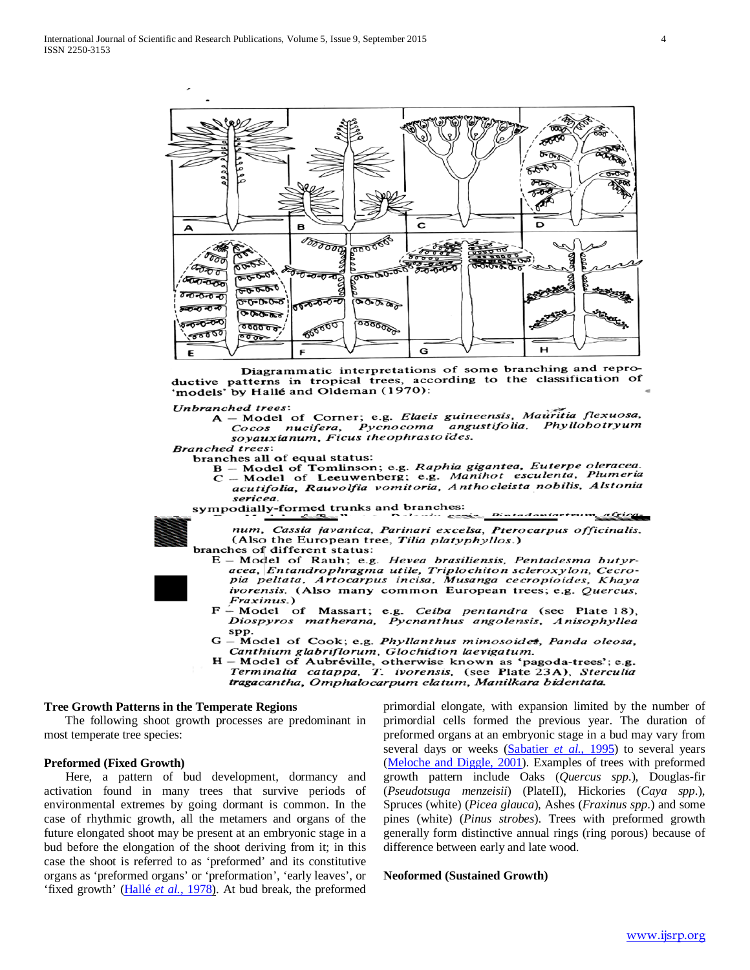

Diagrammatic interpretations of some branching and reproductive patterns in tropical trees, according to the classification of<br>"models' by Hallé and Oldeman (1970):

**Unbranched trees:** 

nched trees:<br>A – Model of Corner; e.g. Elaeis guineensis, Mauritia flexuosa, nucifera, Pycnocoma angustifolia, Phyllobotryum  $Cocos$ soyauxianum, Ficus theophrastoides.

**Branched trees:** 

- branches all of equal status:
	- nches an offedial status.<br>
	B Model of Tomlinson; e.g. *Raphia gigantea, Euterpe oleracea.*<br>
	C Model of Leeuwenberg; e.g. *Manihot esculenta, Plumeria* acutifolia, Rauvolfia vomitoria, Anthocleista nobilis, Alstonia sericea.
	- sympodially-formed trunks and branches:

num, Cassia javanica, Parinari excelsa, Pterocarpus officinalis. (Also the European tree, Tilia platyphyllos.) branches of different status:

- E Model of Rauh; e.g. Hevea brasiliensis, Pentadesma butyracea, Entandrophragma utile, Triplochiton scleroxylon, Cecropia peltata, Artocarpus incisa, Musanga cecropioides, Khaya ivorensis. (Also many common European trees; e.g. Quercus, Fraxinus.)
- E. - Model of Massart; e.g. *Ceiba pentandra* (see Plate 18),<br>Diospyros matherana, Pycnanthus angolensis, Anisophyllea spp.
- Model of Cook; e.g. Phyllanthus mimosoides, Panda oleosa, Canthium glabriflorum, Glochidion laevigatum.
- H Model of Aubréville, otherwise known as 'pagoda-trees'; e.g. Terminalia catappa, T. ivorensis, (see Plate 23A), Sterculia tragacantha, Omphalocarpum elatum, Manilkara bidentata.

#### **Tree Growth Patterns in the Temperate Regions**

 The following shoot growth processes are predominant in most temperate tree species:

#### **Preformed (Fixed Growth)**

 Here, a pattern of bud development, dormancy and activation found in many trees that survive periods of environmental extremes by going dormant is common. In the case of rhythmic growth, all the metamers and organs of the future elongated shoot may be present at an embryonic stage in a bud before the elongation of the shoot deriving from it; in this case the shoot is referred to as 'preformed' and its constitutive organs as 'preformed organs' or 'preformation', 'early leaves', or 'fixed growth' (Hallé *et al.*[, 1978\)](http://aob.oxfordjournals.org/content/99/3/375.full#ref-146). At bud break, the preformed primordial elongate, with expansion limited by the number of primordial cells formed the previous year. The duration of preformed organs at an embryonic stage in a bud may vary from several days or weeks [\(Sabatier](http://aob.oxfordjournals.org/content/99/3/375.full#ref-271) *et al.*, 1995) to several years [\(Meloche and Diggle, 2001\)](http://aob.oxfordjournals.org/content/99/3/375.full#ref-188). Examples of trees with preformed growth pattern include Oaks (*Quercus spp*.), Douglas-fir (*Pseudotsuga menzeisii*) (PlateII), Hickories (*Caya spp*.), Spruces (white) (*Picea glauca*), Ashes (*Fraxinus spp*.) and some pines (white) (*Pinus strobes*). Trees with preformed growth generally form distinctive annual rings (ring porous) because of difference between early and late wood.

<u>endonin</u>etmin<u>, abrica</u>

# **Neoformed (Sustained Growth)**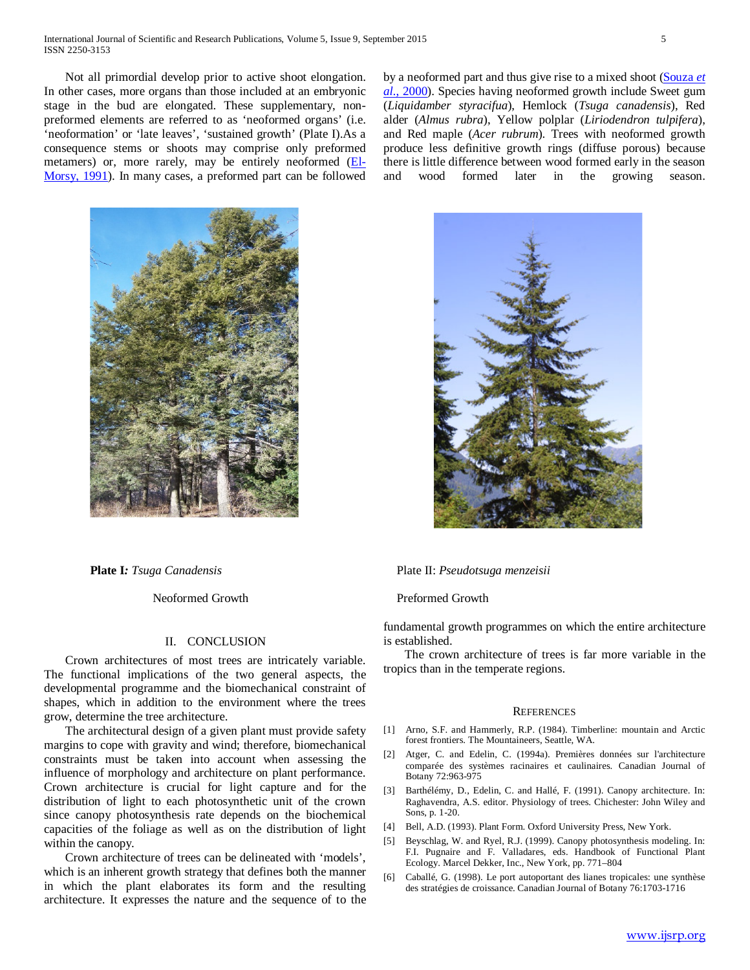Not all primordial develop prior to active shoot elongation. In other cases, more organs than those included at an embryonic stage in the bud are elongated. These supplementary, nonpreformed elements are referred to as 'neoformed organs' (i.e. 'neoformation' or 'late leaves', 'sustained growth' (Plate I).As a consequence stems or shoots may comprise only preformed metamers) or, more rarely, may be entirely neoformed [\(El-](http://aob.oxfordjournals.org/content/99/3/375.full#ref-96)[Morsy, 1991\)](http://aob.oxfordjournals.org/content/99/3/375.full#ref-96). In many cases, a preformed part can be followed by a neoformed part and thus give rise to a mixed shoot [\(Souza](http://aob.oxfordjournals.org/content/99/3/375.full#ref-291) *et al.*[, 2000\)](http://aob.oxfordjournals.org/content/99/3/375.full#ref-291). Species having neoformed growth include Sweet gum (*Liquidamber styracifua*), Hemlock (*Tsuga canadensis*), Red alder (*Almus rubra*), Yellow polplar (*Liriodendron tulpifera*), and Red maple (*Acer rubrum*). Trees with neoformed growth produce less definitive growth rings (diffuse porous) because there is little difference between wood formed early in the season and wood formed later in the growing season.



Neoformed Growth Preformed Growth

# II. CONCLUSION

 Crown architectures of most trees are intricately variable. The functional implications of the two general aspects, the developmental programme and the biomechanical constraint of shapes, which in addition to the environment where the trees grow, determine the tree architecture.

 The architectural design of a given plant must provide safety margins to cope with gravity and wind; therefore, biomechanical constraints must be taken into account when assessing the influence of morphology and architecture on plant performance. Crown architecture is crucial for light capture and for the distribution of light to each photosynthetic unit of the crown since canopy photosynthesis rate depends on the biochemical capacities of the foliage as well as on the distribution of light within the canopy.

 Crown architecture of trees can be delineated with 'models', which is an inherent growth strategy that defines both the manner in which the plant elaborates its form and the resulting architecture. It expresses the nature and the sequence of to the



 **Plate I***: Tsuga Canadensis* Plate II: *Pseudotsuga menzeisii*

fundamental growth programmes on which the entire architecture is established.

 The crown architecture of trees is far more variable in the tropics than in the temperate regions.

#### **REFERENCES**

- [1] Arno, S.F. and Hammerly, R.P. (1984). Timberline: mountain and Arctic forest frontiers. The Mountaineers, Seattle, WA.
- [2] Atger, C. and Edelin, C. (1994a). Premières données sur l'architecture comparée des systèmes racinaires et caulinaires. Canadian Journal of Botany 72:963-975
- [3] Barthélémy, D., Edelin, C. and Hallé, F. (1991). Canopy architecture. In: Raghavendra, A.S. editor. Physiology of trees. Chichester: John Wiley and Sons, p. 1-20.
- [4] Bell, A.D. (1993). Plant Form. Oxford University Press, New York.
- [5] Beyschlag, W. and Ryel, R.J. (1999). Canopy photosynthesis modeling. In: F.I. Pugnaire and F. Valladares, eds. Handbook of Functional Plant Ecology. Marcel Dekker, Inc., New York, pp. 771–804
- [6] Caballé, G. (1998). Le port autoportant des lianes tropicales: une synthèse des stratégies de croissance. Canadian Journal of Botany 76:1703-1716